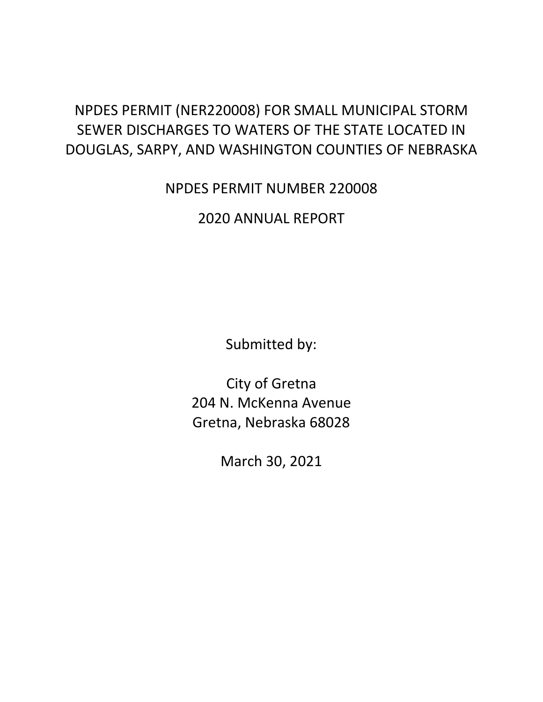## NPDES PERMIT (NER220008) FOR SMALL MUNICIPAL STORM SEWER DISCHARGES TO WATERS OF THE STATE LOCATED IN DOUGLAS, SARPY, AND WASHINGTON COUNTIES OF NEBRASKA

## NPDES PERMIT NUMBER 220008

2020 ANNUAL REPORT

Submitted by:

City of Gretna 204 N. McKenna Avenue Gretna, Nebraska 68028

March 30, 2021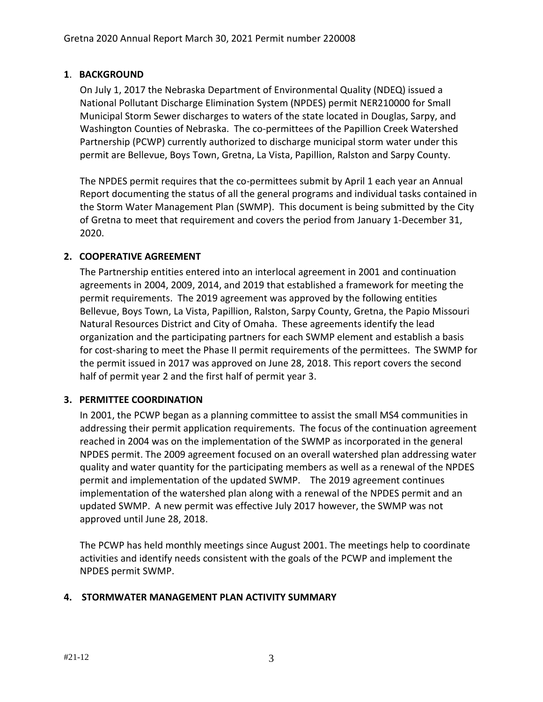## Report of Certification

"I certify under penalty of law that this document and all attachments were prepared under my direction or supervision in accordance with a system designed to assure that qualified personnel properly gathered and evaluated the information submitted. Based on my inquiry of the person or persons who manage the system or those persons directly responsible for gathering the information, the information submitted is to the best of my knowledge and belief, true, accurate, and complete. I am aware that there are significant penalties for submitting false information, including the possibility of fine and imprisonment for known violations. See 18 U.S.C. 1001 and 33 U.S.C 1319, and Neb. Rev. Stat. 81-1508 thru 81-1508.02."

| Signature of Authorized Representative or Cognizant Official | Date  |  |
|--------------------------------------------------------------|-------|--|
| Michael D. Evans                                             | Mayor |  |
| <b>Printed Name</b>                                          | Title |  |
|                                                              |       |  |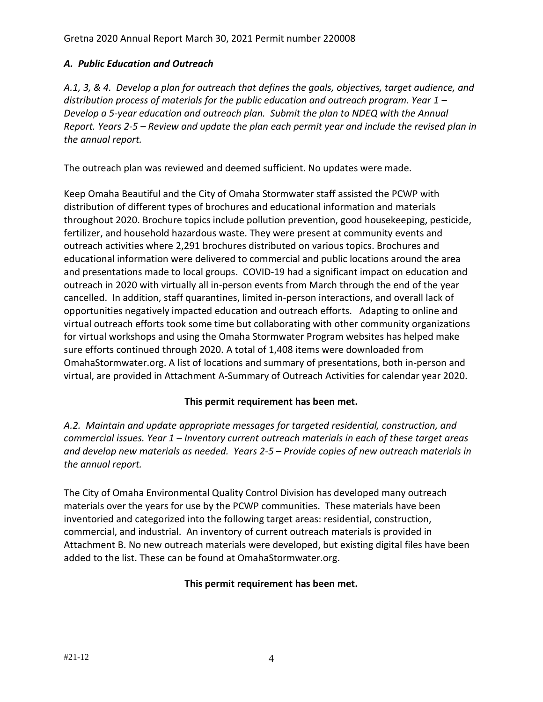## **1**. **BACKGROUND**

On July 1, 2017 the Nebraska Department of Environmental Quality (NDEQ) issued a National Pollutant Discharge Elimination System (NPDES) permit NER210000 for Small Municipal Storm Sewer discharges to waters of the state located in Douglas, Sarpy, and Washington Counties of Nebraska. The co-permittees of the Papillion Creek Watershed Partnership (PCWP) currently authorized to discharge municipal storm water under this permit are Bellevue, Boys Town, Gretna, La Vista, Papillion, Ralston and Sarpy County.

The NPDES permit requires that the co-permittees submit by April 1 each year an Annual Report documenting the status of all the general programs and individual tasks contained in the Storm Water Management Plan (SWMP). This document is being submitted by the City of Gretna to meet that requirement and covers the period from January 1-December 31, 2020.

## **2. COOPERATIVE AGREEMENT**

The Partnership entities entered into an interlocal agreement in 2001 and continuation agreements in 2004, 2009, 2014, and 2019 that established a framework for meeting the permit requirements. The 2019 agreement was approved by the following entities Bellevue, Boys Town, La Vista, Papillion, Ralston, Sarpy County, Gretna, the Papio Missouri Natural Resources District and City of Omaha. These agreements identify the lead organization and the participating partners for each SWMP element and establish a basis for cost-sharing to meet the Phase II permit requirements of the permittees. The SWMP for the permit issued in 2017 was approved on June 28, 2018. This report covers the second half of permit year 2 and the first half of permit year 3.

## **3. PERMITTEE COORDINATION**

In 2001, the PCWP began as a planning committee to assist the small MS4 communities in addressing their permit application requirements. The focus of the continuation agreement reached in 2004 was on the implementation of the SWMP as incorporated in the general NPDES permit. The 2009 agreement focused on an overall watershed plan addressing water quality and water quantity for the participating members as well as a renewal of the NPDES permit and implementation of the updated SWMP. The 2019 agreement continues implementation of the watershed plan along with a renewal of the NPDES permit and an updated SWMP. A new permit was effective July 2017 however, the SWMP was not approved until June 28, 2018.

The PCWP has held monthly meetings since August 2001. The meetings help to coordinate activities and identify needs consistent with the goals of the PCWP and implement the NPDES permit SWMP.

## **4. STORMWATER MANAGEMENT PLAN ACTIVITY SUMMARY**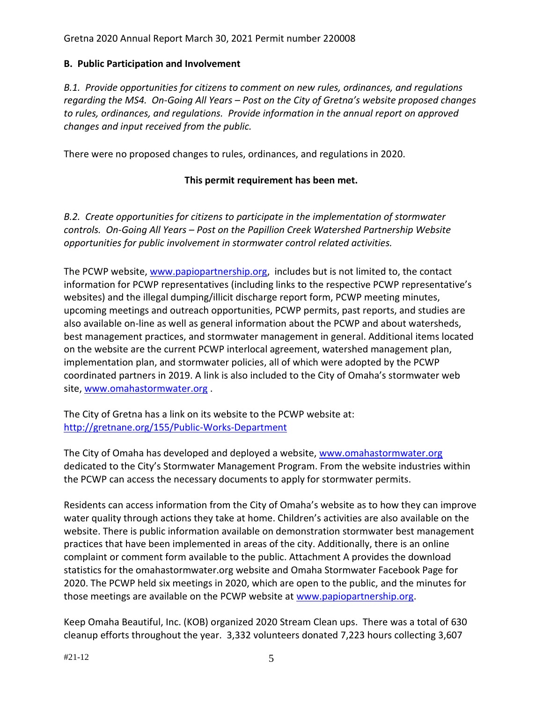## *A. Public Education and Outreach*

*A.1, 3, & 4. Develop a plan for outreach that defines the goals, objectives, target audience, and distribution process of materials for the public education and outreach program. Year 1 – Develop a 5-year education and outreach plan. Submit the plan to NDEQ with the Annual Report. Years 2-5 – Review and update the plan each permit year and include the revised plan in the annual report.*

The outreach plan was reviewed and deemed sufficient. No updates were made.

Keep Omaha Beautiful and the City of Omaha Stormwater staff assisted the PCWP with distribution of different types of brochures and educational information and materials throughout 2020. Brochure topics include pollution prevention, good housekeeping, pesticide, fertilizer, and household hazardous waste. They were present at community events and outreach activities where 2,291 brochures distributed on various topics. Brochures and educational information were delivered to commercial and public locations around the area and presentations made to local groups. COVID-19 had a significant impact on education and outreach in 2020 with virtually all in-person events from March through the end of the year cancelled. In addition, staff quarantines, limited in-person interactions, and overall lack of opportunities negatively impacted education and outreach efforts. Adapting to online and virtual outreach efforts took some time but collaborating with other community organizations for virtual workshops and using the Omaha Stormwater Program websites has helped make sure efforts continued through 2020. A total of 1,408 items were downloaded from OmahaStormwater.org. A list of locations and summary of presentations, both in-person and virtual, are provided in Attachment A-Summary of Outreach Activities for calendar year 2020.

## **This permit requirement has been met.**

*A.2. Maintain and update appropriate messages for targeted residential, construction, and commercial issues. Year 1 – Inventory current outreach materials in each of these target areas and develop new materials as needed. Years 2-5 – Provide copies of new outreach materials in the annual report.*

The City of Omaha Environmental Quality Control Division has developed many outreach materials over the years for use by the PCWP communities. These materials have been inventoried and categorized into the following target areas: residential, construction, commercial, and industrial. An inventory of current outreach materials is provided in Attachment B. No new outreach materials were developed, but existing digital files have been added to the list. These can be found at OmahaStormwater.org.

## **This permit requirement has been met.**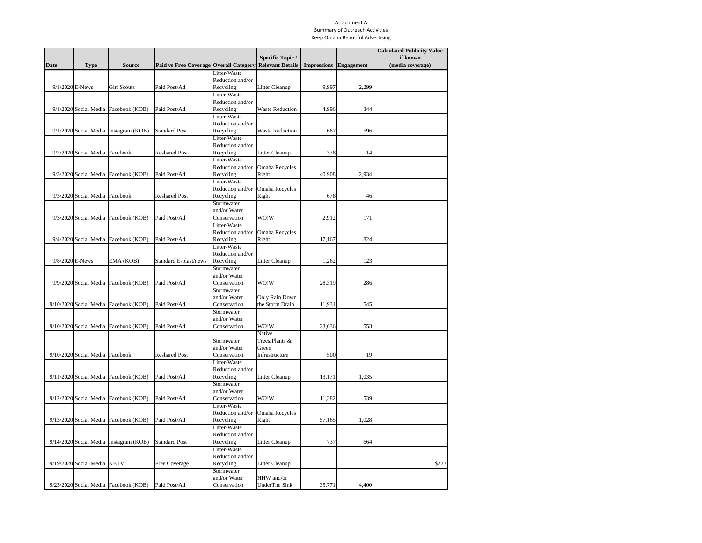## **B. Public Participation and Involvement**

*B.1. Provide opportunities for citizens to comment on new rules, ordinances, and regulations regarding the MS4. On-Going All Years – Post on the City of Gretna's website proposed changes to rules, ordinances, and regulations. Provide information in the annual report on approved changes and input received from the public.*

There were no proposed changes to rules, ordinances, and regulations in 2020.

## **This permit requirement has been met.**

*B.2. Create opportunities for citizens to participate in the implementation of stormwater controls. On-Going All Years – Post on the Papillion Creek Watershed Partnership Website opportunities for public involvement in stormwater control related activities.*

The PCWP website, [www.papiopartnership.org,](http://www.papiopartnership.org/) includes but is not limited to, the contact information for PCWP representatives (including links to the respective PCWP representative's websites) and the illegal dumping/illicit discharge report form, PCWP meeting minutes, upcoming meetings and outreach opportunities, PCWP permits, past reports, and studies are also available on-line as well as general information about the PCWP and about watersheds, best management practices, and stormwater management in general. Additional items located on the website are the current PCWP interlocal agreement, watershed management plan, implementation plan, and stormwater policies, all of which were adopted by the PCWP coordinated partners in 2019. A link is also included to the City of Omaha's stormwater web site, [www.omahastormwater.org](http://www.omahastormwater.org/) .

The City of Gretna has a link on its website to the PCWP website at: <http://gretnane.org/155/Public-Works-Department>

The City of Omaha has developed and deployed a website, [www.omahastormwater.org](http://www.omahastormwater.org/) dedicated to the City's Stormwater Management Program. From the website industries within the PCWP can access the necessary documents to apply for stormwater permits.

Residents can access information from the City of Omaha's website as to how they can improve water quality through actions they take at home. Children's activities are also available on the website. There is public information available on demonstration stormwater best management practices that have been implemented in areas of the city. Additionally, there is an online complaint or comment form available to the public. Attachment A provides the download statistics for the omahastormwater.org website and Omaha Stormwater Facebook Page for 2020. The PCWP held six meetings in 2020, which are open to the public, and the minutes for those meetings are available on the PCWP website at [www.papiopartnership.org.](http://www.papiopartnership.org/)

Keep Omaha Beautiful, Inc. (KOB) organized 2020 Stream Clean ups. There was a total of 630 cleanup efforts throughout the year. 3,332 volunteers donated 7,223 hours collecting 3,607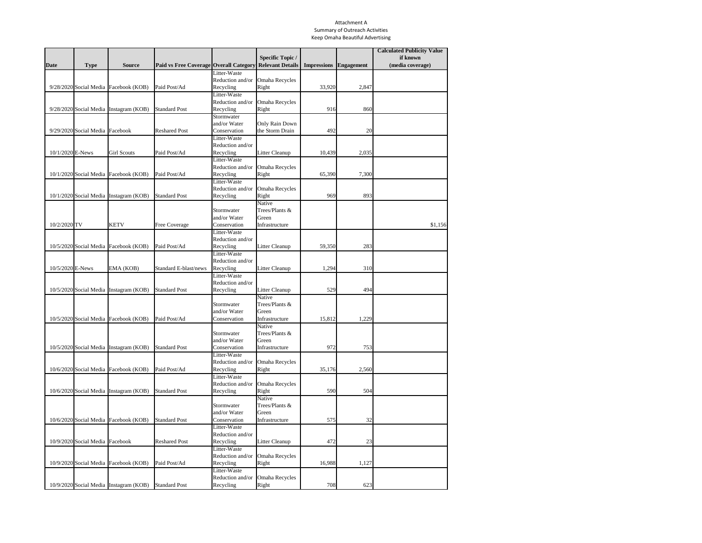Gretna 2020 Annual Report March 30, 2021 Permit number 220008

bags of litter. In addition to the water courses, parks and trails were also targeted in the cleanup efforts.

KOB also coordinates storm drain marking throughout the Papillion Creek Watershed. KOB continues to utilize a GIS tracking system to better direct the volunteers to areas that do not have storm drains marked. The City of Omaha has approximately 110,000 storm drains, using the GIS system should make tracking those inlets which have been marked or need marking easier to manage. KOB coordinated volunteers throughout 2020 to mark and clean storm sewer inlets. In 2020, 4,017 inlets were marked by 138 volunteers.

Due to COVID-19, the annual World O! Water festival was held as a virtual, online event at [https://www.worldowater.org/activities/.](https://www.worldowater.org/activities/) Various groups and organizations provided waterrelated videos, activities, coloring pages, and other resources for kids and adults. The resources remain posted on the website. 600 people accessed some part of the website.

Additional data is included in Attachment A – Summary of Outreach Activities.

## **This permit requirement has been met.**

*B.3. Provide access to information about the City of Gretna SWMP. On-Going All Years – Maintain current SWMP and MS4 annual reports on the Papillion Creek Watershed Partnership Website.* 

The current Stormwater Management Plan and the 2018 Annual Report can be found at [www.papiopartnership.org.](http://www.papiopartnership.org/) The 2020 report will be posted to the website in 2021.

#### **This permit requirement has been met.**

#### **C. Illicit Discharge Detection and Elimination**

*C.1.a. Maintain a compliance plan or mechanism to follow up on illicit discharges. On-Going All Years – Maintain the compliance procedures per the permit requirements.*

The City of Omaha's compliance plan is titled the Omaha Environmental Enforcement Manual. This manual describes the City's enforcement goals, process and mechanisms, program priorities, enforcement mechanisms and civil penalty policy. The PCWP utilizes this plan to maintain compliance.

#### **This permit requirement has been met.**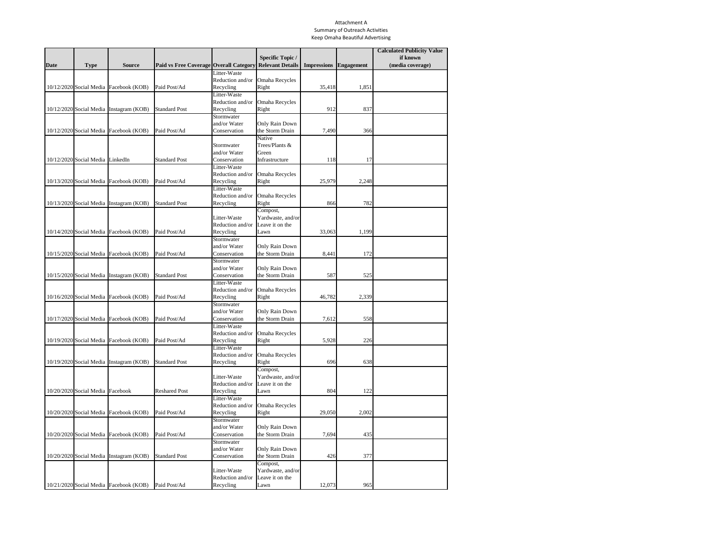Gretna 2020 Annual Report March 30, 2021 Permit number 220008

*C.1.b. Maintain a map showing all known MS4 outfalls and the location of all state-designated waters receiving direct discharges from MS4 outfalls. On-Going All Years – Maintain a continually updated storm sewer system map per the permit requirements.* 

Each community in the PCWP sends information to the Douglas or Sarpy County GIS departments where the outfall maps are maintained. The websites for Douglas and Sarpy Counties are [https://www.dogis.org](https://www.dogis.org/) and <https://maps.sarpy.com/html5viewer/index.html?Viewer=SIMS> respectively.

The City of Gretna has a link on its website at: [http://gretnane.org/DocumentCenter/View/1302/Gretna-Storm-Sewer-Utility-Map-Jan-2018-](http://gretnane.org/DocumentCenter/View/1302/Gretna-Storm-Sewer-Utility-Map-Jan-2018-PDF)

## [PDF](http://gretnane.org/DocumentCenter/View/1302/Gretna-Storm-Sewer-Utility-Map-Jan-2018-PDF) for MS4 outfall locations.

## **This permit requirement has been met.**

*C.1.c. Conduct field screening activities per the permit requirements specifically geared to local TMDL pollutants of concern such as E. Coli. Other parameters will be determined based on the results of a PCE, but could include nutrients, ammonia, BOD, and TPH. On-Going All Years – Annually conduct dry weather monitoring priority outfalls (those that are 72" or greater and/or those with documented illicit discharges within the previous 3 years).*

Dry weather discharges identified, as the outfalls are inspected will be investigated with respect to the source of the discharge. The Physical Characteristics Examination (PCE) will be completed as part of the inspection process and, if there is reason to believe that the discharge is allowable under the stormwater ordinance/regulation, the investigation will be terminated. If the PCE indicates that there may be an illicit connection, a more comprehensive investigation will be undertaken that may involve sampling the discharge, tracing the line upstream to identify potential sources, and questioning potential dischargers. If a potential source is identified, information will be provided regarding the impact to human health and the environment to resolve the problem.

## **This permit requirement has been met.**

*C.1.d. Implement procedures to investigate and trace sources of identified illicit discharges to the MS4. On-Going All Years – Document investigations, including date observed, result of investigations, and date closed.*

The City of Gretna's Public Works Department personnel respond and investigate inquiries regarding trace sources of identified illicit discharges. No trace sources of illicit discharges were identified in Gretna in 2020.

#21-12 7 *C.1.e. Implement the procedures to remove illicit discharges to the MS4. Document all interactions with potentially responsible parties. On-Going All Years – Use the code*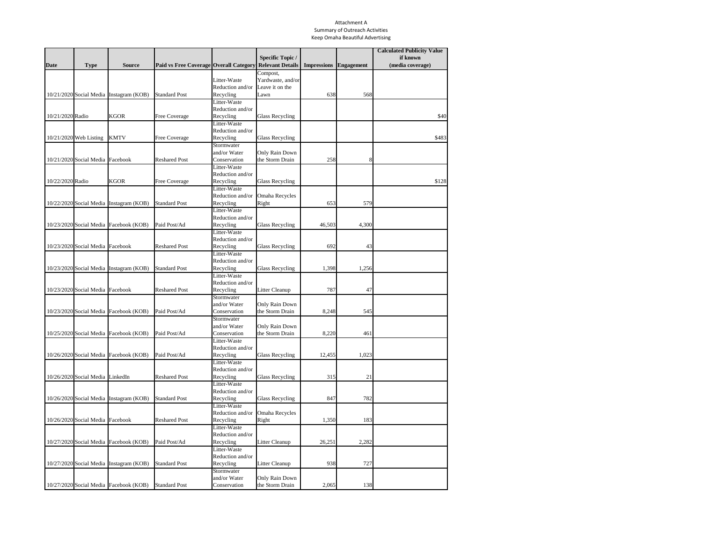*enforcement procedures to eliminate unauthorized non-stormwater discharges identified during an investigation.*

The City of Gretna's Public Works Department personnel implement the procedures regarding the elimination of unauthorized non-storm water discharges per the City Code. No unauthorized non-stormwater discharges were identified in Gretna in 2020.

## **This permit requirement has been met.**

*C.1.f. Identify and address allowable non-stormwater discharges determined to be significant contributors to pollutants. Identify an additional non-stormwater discharges that will not be addressed as illicit discharges. On-Going All Years – Report on any local controls or conditions placed upon exempt non-stormwater discharges and additional identified exempted nonstormwater discharges.*

There were to no non-stormwater discharges determinations made in 2020.

*C. 2 & 3. Coordinate with adjacent permitted MS4s to report illicit discharges to the appropriate authority having jurisdiction and respond to reports from other MS4s. Year 1 – Develop procedures for coordination with adjacent permitted MS4s. On-Going All Years – Include in the annual report any known illicit discharge reports to and from adjacent MS4s.*

The Omaha Stormwater Program operates a hotline, 402-444-3908, and a reporting form at [OmahaStormwater.org](http://www.omahastormwater.org/) to receive complaints from the public regarding stormwater issues. These options for reporting complaints and illicit discharges are promoted through the Papillion Creek Watershed. Complaints received by the Omaha Stormwater Program located in adjacent MS4s are forwarded immediately to them for investigating. Complaints received by adjacent MS4s that are in the City of Omaha limits or its Extra Territorial Jurisdiction (ETJ), are immediately forwarded over. A Memorandum of Understanding has been developed to address illicit discharges that occur in extra-territorial jurisdiction areas or that impact more than one jurisdiction.

A summary of complaints forwarded to adjacent MS4s is included in the table below.

| Date | <b>Address</b>                 | Complaint Type   Adjacent MS4              |  |
|------|--------------------------------|--------------------------------------------|--|
|      | 8/20/2020   13424 Chandler Rd. | Illicit Discharge $\vert$ City of La Vista |  |

## **This permit requirement has been met.**

*C.4. Maintain written procedures for the IDDE component of the MS4 permit. On-Going All Years – Make available upon request the standard operating procedures developed under this program component.*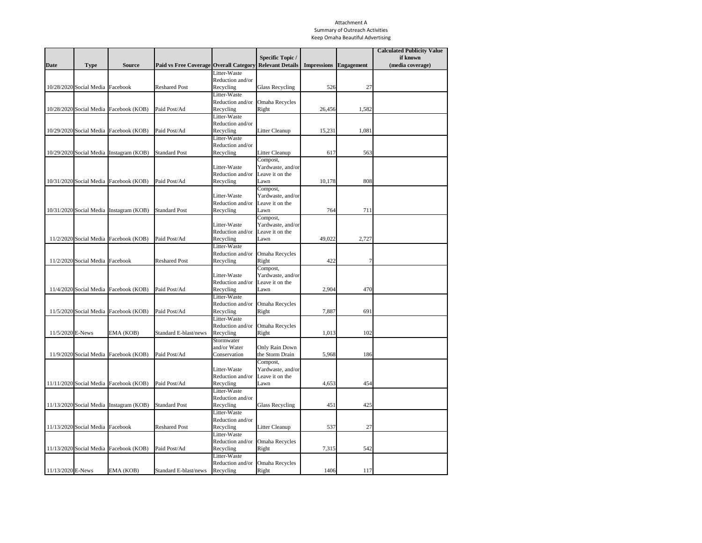Upon request, the City of Gretna will provide a copy of the standard operating procedures developed under this program component.

## **This permit requirement has been met.**

*C.5. Receive reports and complaints, internally and from the public, of illicit discharges and illegal dumping into the MS4. Respond to and investigate complaints about spills, dumping, or disposal of materials other than stormwater to the MS4. On-Going All Years - Coordinated with others to resolve complaints. Develop a system to generate reports and track the number of calls per year in regard to spills, dumping, or improper disposal of material to the MS4. Include a count of complaints received and investigation completed in the annual report.*

The City of Omaha continues to maintain a phone line, 402-444-3908, for handling stormwater calls. Clerks are available during regular business hours to handle calls for the City and the PCWP member entities. The clerks answering the hotline are required to complete a form when answering the calls so that all the required information is collected. The form is tied to a database that stores all calls received and provide a mechanism for tracking calls. A representative from the City of Omaha will use the information stored in the database to direct the call to the appropriate PCWP representative or their designee.

There were a total of zero (0) complaints received via the Papio Partnership website (www.papiopartnership.org) or the hotline in 2020 for our jurisdiction. Public complaints on sediment and erosion control can be logged into the erosion website [\(www.OmahaStormwater.org\)](http://www.omahastormwater.org/).

There were to no illicit discharges and illegal dumping into the MS4 made in 2020.

## **This permit requirement has been met.**

*C.6. Develop, implement and maintain a training program for municipal field staff with respect to IDDE. Year 1 – Develop a strategy which identifies field staff and appropriate levels of training. Years 2-5 – Provide a count of employees which have received training in the annual report.*

A strategy for training municipal field staff has been developed. A copy of the strategy is included in Attachment E. Due to COVID-19, the City did not perform any training to municipal field staff with respect to IDDE.

## **This permit requirement has been met.**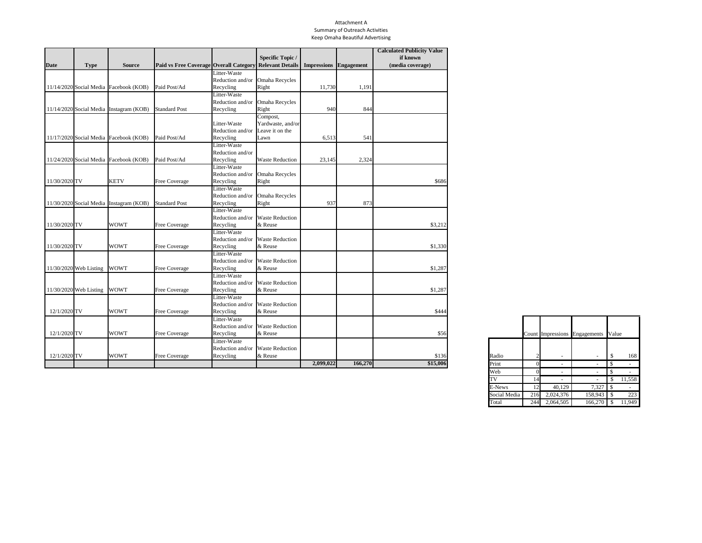Gretna 2020 Annual Report March 30, 2021 Permit number 220008

## **D. Construction Site Runoff Control**

*D.1. Maintain the established program requiring operators of public or private construction activities to comply with local erosion and sediment control requirements. On-Going All Years – Include any updates to code or permit requirements in the annual report.*

The City of Omaha's Environmental Quality Control Division (EQCD) continued to implement the Grading Permit Program for the PCWP in 2020. No updates were made to code or permit requirements in 2020.

Additionally, communities in Sarpy County have experienced urban growth in areas outside the Papillion Creek Watershed. As these areas are outside of what EQCD manage through the Papillion Creek Watershed Partnership agreement, the Southern Sarpy Watershed Partnership (SSWP) was formed in 2016. In 2020, the SSWP contracted for inspections in Southern Sarpy County to maintain the established program.

## **This permit requirement has been met.**

*D.2. Maintain a compliance plan or mechanism to follow up on construction site noncompliance. On-Going All Years – Maintain the compliance procedures per the permit requirements.*

The City of Omaha's compliance plan is titled the Omaha Environmental Enforcement Manual. This manual describes the City's enforcement goals, process and mechanisms, program priorities, enforcement mechanisms and civil penalty policy. No updates were made in 2020. The PCWP and SSWP utilize this plan to maintain compliance.

## **This permit requirement has been met.**

*D.3. Review grading permit applications and maintain a continually updated inventory of all private and public construction sites. On-Going All Years - Include in the annual report the number and type of grading permits reviewed.*

In 2020, there were 58 Phase I grading permits and 87 Phase 2 grading permits issued in the PCWP and SSWP communities. A breakdown of grading permits by community is shown in Attachment C.

The City of Gretna issued 14 grading permits in 2020.

## **This permit requirement has been met.**

 $#21-12$  10 *D.4. Maintain the electronic records for inspection of construction sites and enforcement of erosion and sediment control measures. Year 1 – Develop a strategy for site inspections by*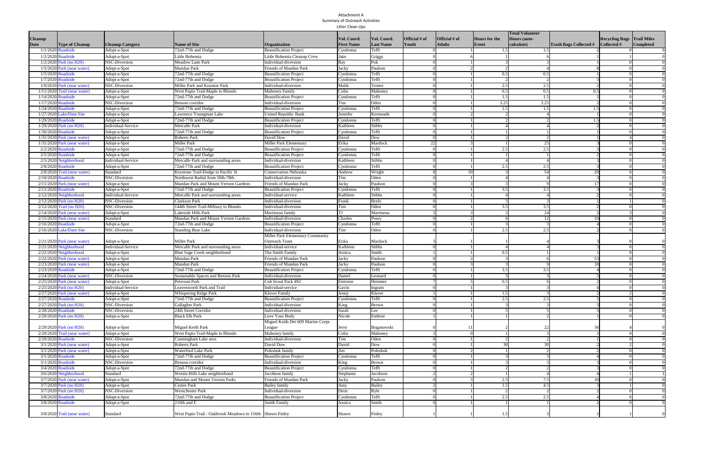*municipal staff and include in the annual report. On-Going All Years – Inspect construction sites on a regular basis and on a complaint basis. Track the number of sites inspected annually in a database. Initiate enforcement proceedings as appropriate to address violations. Include a summary of inspections completed and enforcement actions taken in the annual report.*

The City of Omaha Stormwater Program developed a strategy for site inspections by municipal staff. EQCD administers the inspection program for Erosion Control, both within the City of Omaha's jurisdiction as well as the Papillion Creek Watershed Partnership's (PCWP) individual member's jurisdiction. The City's Grading Permit Program requires that the owners of active sites assign a Project Inspector to do inspections weekly and after 0.5 inches of rain. In the 2020 calendar year, reports were submitted to Permix by City Inspectors and Project Inspectors for construction sites as per the NPDES Stormwater Discharges from Construction Sites General Permit. Communities in the SSWP follow the same guidelines but utilize a contractor to conduct site inspections.

Violations processed in 2020 are referenced in Attachment D as well as a breakdown of permits and inspection reports by community. The table below summarizes PCWP and SSWP construction inspections for 2020.

|                           | <b>City Inspection Reports</b> | <b>Private Inspection Reports</b> |
|---------------------------|--------------------------------|-----------------------------------|
| Phase I Sites (>5 acres)  | 1.473                          | 11,480                            |
| Phase II Sites (<5 acres) | 866                            | 6,041                             |
| Total                     | 2,339                          | 17,521                            |

| <b>Grading Permit</b>     | <b>Project Name</b>      | <b>Illicit Discharge</b> | <b>Complaint Type</b> | Enforcement<br><b>Action Taken</b> |
|---------------------------|--------------------------|--------------------------|-----------------------|------------------------------------|
| GRE-20170502-<br>4099-GP1 | Aspen Creek North        | No.                      | Sediment &<br>Erosion | Letter of Warning                  |
| GRE-20200506-<br>5401-GP1 | <b>Mackling Property</b> | No.                      | Sediment &<br>Erosion | Letter of Warning                  |

Additional violation information is included for areas in Southern Sarpy County in Attachment E.

| <b>Grading Permit</b>     | <b>Project Name</b>    | <b>Illicit Discharge</b> | <b>Complaint Type</b> | Enforcement<br><b>Action Taken</b> |
|---------------------------|------------------------|--------------------------|-----------------------|------------------------------------|
| GRE-20161021-<br>3837-GP1 | The Estates of Wynwood | No.                      | Sediment &<br>Erosion | Letter of Warning                  |

## **This permit requirement has been met.**

*D.5. Provide training for municipal staff with respect to their assigned duties as it relates to sediment and erosion control from construction activity. One formal training course for inspection staff during their employment with the City and internal training on an as needed basis to maintain consistent reporting among all inspectors. On-Going All Years – Include in the annual report the number of staff and their sediment and erosion control training completed.*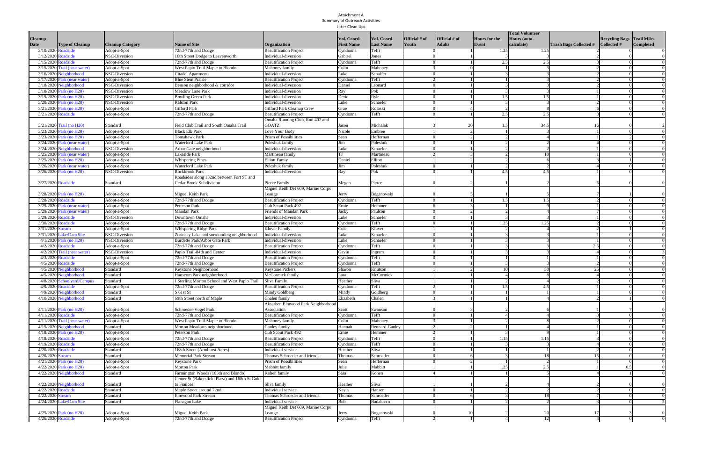Through the PCWP Interlocal Agreement, the City of Omaha provides construction site inspection services for all grading permits. City of Omaha Environmental Inspectors who conduct inspections for sediment and erosion control must enroll and pass the Local Technical Assistance Program's (LTAP) Erosion and Sediment Control for Installers and Inspectors. The training is a full-day course and includes a test at the end that if passed, the inspector becomes certified. This certification is valid for 5 years. When the certification expires, inspectors enroll for an online course to renew their certification. There are 15 certified inspectors in the City of Omaha's Environmental Quality Control Division (EQCD). A summary of active City inspectors is provided in the table below.

|                   |                  | <b>Certification</b> | <b>Recertification</b> |
|-------------------|------------------|----------------------|------------------------|
| <b>First Name</b> | <b>Last Name</b> | ID#                  | Date                   |
| Christopher       | Anderson         | 2101                 | 10/4/2022              |
| Casey             | <b>Black</b>     | 848                  | 1/23/2024              |
| Mark              | Ermeling         | 1979                 | 10/5/2021              |
| Neil              | Graybill         | 1333                 | 1/3/2022               |
| Eric              | Grimshaw         | 1261                 | 12/8/2020              |
| James             | Kee Jr.          | 170                  | 9/24/2024              |
| Charla            | Long (Shurter)   | 1666                 | 9/24/2024              |
| David             | <b>Nusser</b>    | 924                  | 9/12/2021              |
| Matthew           | <b>Nusser</b>    | 1986                 | 10/5/2021              |
| <b>Therese</b>    | Pogge            | 172                  | 9/24/2024              |
| Jennifer          | Proescholdt      | 1987                 | 10/5/2021              |
| Jeffrey           | Ryba             | 1353                 | 9/13/2021              |
| Carol             | Sorensen         | 171                  | 9/24/2024              |
| Andy              | Szatko           | 1278                 | 11/30/2020             |
| <b>Blake</b>      | Wagner           | 3055                 | 9/24/2024              |

In 2020, EQCD continued to incorporate sediment and erosion control training into the regular monthly safety toolbox meetings. Topics that are covered include review of inspection processes, enforcements, and open discussion to discuss current issues among staff. A summary of 2020 sediment and erosion control training is provided in the table below.

| <b>Date</b> | <b>Title</b>                                   | <b>Attendees</b> |
|-------------|------------------------------------------------|------------------|
| 1/28/2020   | <b>Inspector Training &amp; Safety Toolbox</b> | 12               |
| 2/10/2020   | <b>City Construction &amp; CSO Inspections</b> | 3                |
| 2/25/2020   | <b>Inspector Training &amp; Safety Toolbox</b> | 12               |
| 3/24/2020   | <b>Inspector Training &amp; Safety Toolbox</b> | 14               |
| 4/28/2020   | <b>Inspector Training &amp; Safety Toolbox</b> | 12               |
| 6/2/2020    | <b>Inspector Training &amp; Safety Toolbox</b> | .5               |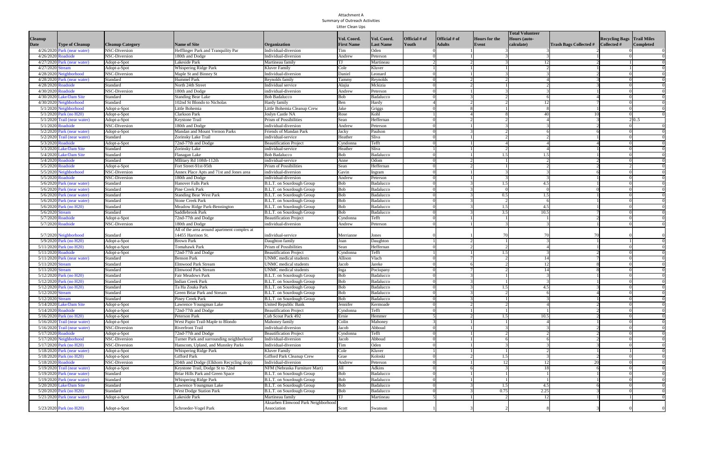## Gretna 2020 Annual Report March 30, 2021 Permit number 220008

| <b>Date</b> | <b>Title</b>                                   | <b>Attendees</b> |
|-------------|------------------------------------------------|------------------|
| 6/23/2020   | <b>Inspector Training &amp; Safety Toolbox</b> | 6                |
| 7/28/2020   | <b>Inspector Training &amp; Safety Toolbox</b> | 9                |
| 8/25/2020   | <b>Inspector Training &amp; Safety Toolbox</b> | 11               |
| 9/22/2020   | <b>Inspector Training &amp; Safety Toolbox</b> | 9                |
| 9/29/2020   | FRCP Training - Under the Sink                 | 5                |
| 9/30/2020   | FRCP Training - Oma-gro Compost                | 3                |
| 10/20/2020  | <b>Outfall Screening Training</b>              | 3                |
| 10/27/2020  | <b>Inspector Training &amp; Safety Toolbox</b> | 5                |
| 11/24/2020  | <b>Inspector Training &amp; Safety Toolbox</b> | 9                |
| 12/22/2020  | <b>Inspector Training &amp; Safety Toolbox</b> | 5                |

In addition to the EQCD inspectors, the SSWP uses a contractor to complete construction site inspections. The inspectors used in 2020 and their qualifications are included in Attachment E.

## **This permit requirement has been met.**

*D.6. Communicate with the regulated community and other groups affected by the Construction Site Runoff program and provide a mechanism to receive complaints from the public. On-Going All Years – Conduct workshops for developers, builders, site designers, contractors, and municipal staff as determined necessary. Track reports from the public regarding construction sites. Include the number of reports received in the annual report and the permittee's response.*

A Sediment and Erosion Control seminar was held on February 6, 2020 with 310 attendees. This annual seminar is intended to educate the regulated community. The seminar is hosted by the City of Omaha, P-MRNRD, Douglas County, and the PCWP. The seminar provided engineers, developers, and construction companies information on NPDES Phase II regulations, the PCWP's grading permit program and sediment and erosion control BMPs.

The City of Omaha also holds multiple outreach events with the regulated community, including the events listed in the table below. Outreach materials are handed out at these events and participants are encouraged to visit [OmahaStormwater.org](http://www.omahastormwater.org/) for additional information and resources. Phone calls, emails, and many other types of communications happen as part of regular job duties where City staff provide information and resources to support sediment and erosion control efforts in the community. See Attachment A for a full list of outreach events.

| <b>Date</b> | <b>Event Name</b>  | $#$ of<br><b>Attendees</b> | Location          | <b>Details/Comments</b> |
|-------------|--------------------|----------------------------|-------------------|-------------------------|
| 1/9/2020    | <b>EGA Grading</b> | 12                         | <b>EGA Office</b> | Provide training & Q&A  |
|             | Permit & PCSMP     |                            |                   | for grading permits &   |
|             | <b>Training</b>    |                            |                   | post-construction       |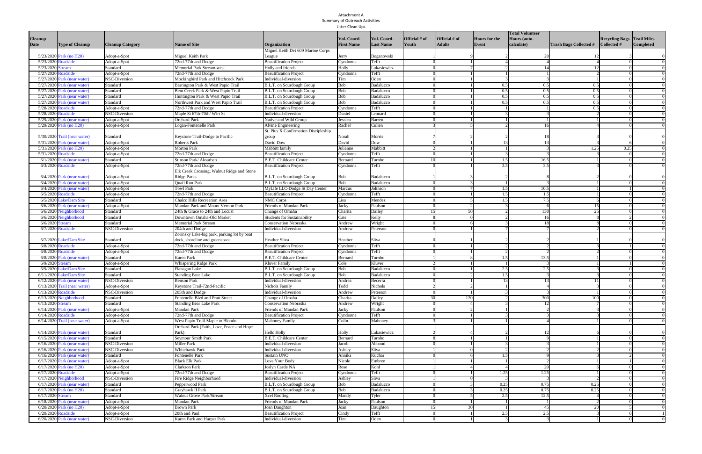| Date      | <b>Event Name</b>           | # of<br><b>Attendees</b> | Location           | <b>Details/Comments</b>   |
|-----------|-----------------------------|--------------------------|--------------------|---------------------------|
| 1/14/2020 | Olsson SEC                  | 10                       | Marriott           |                           |
|           |                             |                          |                    | Present on Omaha specific |
|           | Presentation                |                          | Courtyard, La      | SEC topics & info during  |
|           |                             |                          | Vista              | Olsson day-long internal  |
|           |                             |                          |                    | meeting                   |
| 1/14/2020 | <b>TD2 Designers</b>        | 30                       | <b>TD2 Offices</b> | Provide training & Q&A    |
|           | <b>Grading Permit &amp;</b> |                          |                    | for grading permits &     |
|           | <b>PCSMP Training</b>       |                          |                    | post-construction         |
| 1/16/2020 | TD2 Inspectors              | 12                       | <b>TD2 Offices</b> | Provide training & Q&A    |
|           | <b>Grading Permit &amp;</b> |                          |                    | for grading permits &     |
|           | <b>PCSMP Training</b>       |                          |                    | post-construction         |
| 2/6/2020  | Sediment &                  | 310                      | <b>DC Centre</b>   | Annual seminar to         |
|           | <b>Erosion Control</b>      |                          |                    | construction industry     |
|           | Seminar                     |                          |                    |                           |
| 1/9/2020  | <b>EGA Grading</b>          | 12                       | <b>EGA Office</b>  | Provide training & Q&A    |
|           | Permit & PCSMP              |                          |                    | for grading permits &     |
|           | <b>Training</b>             |                          |                    | post-construction         |

See BMP 4 in this section for information regarding construction site complaints in 2020.

| <b>Issue Address</b>      | Illicit Discharge |            | Complaint Type Enforcement Action Taken |
|---------------------------|-------------------|------------|-----------------------------------------|
| Royal View - 204th Street | No                | Sediment & | <b>Request for Voluntary</b>            |
|                           |                   | Erosion    | Compliance - Verbal                     |

## **This permit requirement has been met.**

## **E. Post-Construction Runoff Control**

*E.1. Continue to implement the Post Construction Program as stipulated in municipal code. Periodically update guidance material and develop divergent standards for difficult sites such as linear projects. Update as needed the Omaha Regional Stormwater Design Manual (ORSDM). Year 1 – Develop divergent standards for guidance document and update guidance as needed. Submit standards with the annual report. On-Going All Years – Revise as necessary. Include a summary of revisions in the annual report.*

The City of Omaha's guidance document for post-construction is titled *City of Omaha Post Construction Stormwater Management Planning Guidance* and was developed in July 2009 and updated in August 2015. This document is used by all PCWP communities. In 2019, the document was reviewed by the Omaha Post-Construction Engineer Reviewer as well as Reviewers in the Papillion Creek Watershed Partnership jurisdictions and the design community to solicit feedback on the document. Updates incorporated into the document as a result of this review includes the following: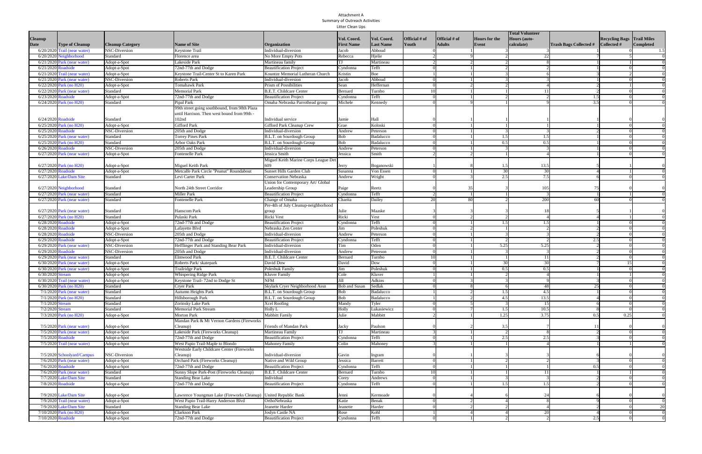Gretna 2020 Annual Report March 30, 2021 Permit number 220008

- · Example of a good drainage study report
- · Certificate of Occupancy hold letter
- Post-Construction BMP inspection forms
- · Updated text to clarify "no adverse impact"

The document is available on the City's website [OmahaStormwater.org](http://omahastormwater.org/) and [OmahaPermix.com.](http://www.omahapermix.com/) No divergent standards were developed. No changes were made to the manual in 2020.

#### **This permit requirement has been met.**

*E.2. Review and update, if needed, the standards outlined in the municipal code and ORSDM for consistency with required performance standards as they relate to post-construction stormwater management plans. On-Going All Years – Report on any updates to the municipal code or ORSDM.*

No updates were made to municipal code or ORSDM in 2020.

#### **This permit requirement has been met.**

*E.3. Maintain an online submittal and review process for site plans, easement and maintenance agreements, as built drawings, deed recordings, and drainage studies. On-Going All Years – Report number of PCSMP projects and the status of their progress in the annual report.*

The Permix software is used for post construction stormwater plan submittals and review. Documents that are included in the PCSMP include a drainage study, proposed plan sheets, applicant certification, maintenance agreement, as-built drawings, BMP certification statement, certification cover sheet, and a certificate of occupancy letter (as-needed). Upon physical completion of the post-construction BMP(s), the PCSMP is recorded with the property deed to ensure long term compliance.

See Attachment F for a summary of PCSMP projects and their status.

#### **This permit requirement has been met.**

*E.4. Develop SOPs for responding to complaints regarding Post Construction BMPs and a strategy for verifying BMPs are being installed & maintained in perpetuity. Year 1 – Submit SOPs with the annual report. On-Going All Years – Report on any complaints and/or BMPs which have been certified as complete.*

The City of Gretna has developed a protocol for responding to complaints regarding Post Construction BMPs.

A summary of BMPs that have been certified as complete is included in Attachment G.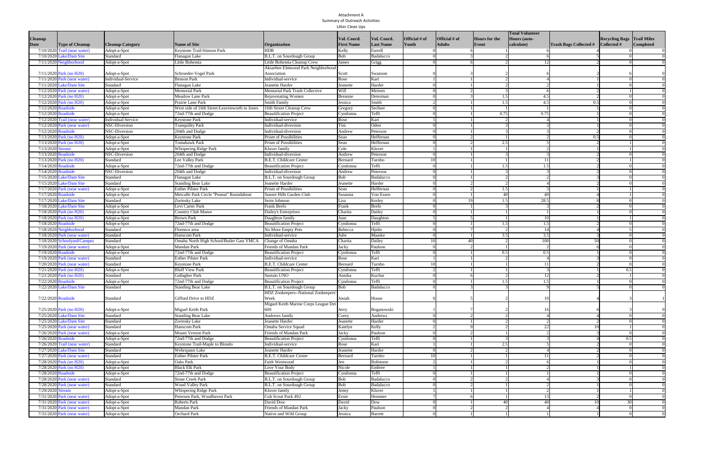## **This permit requirement has been met.**

*E.5. Maintain a database that stores information on approved PCSMPs. On-Going All Years – Provide an inventory of certified stormwater control measures installed as part of the PCSMP requirements. Include a count of BMP types as well as any known changes to BMPs in the annual report.*

The Permix software used for post-construction stormwater plan submittal creates a database of BMPs installed as part of the PCSMP requirements. A summary of BMPs installed in 2020 is included in Attachment G.

## **This permit requirement has been met.**

*E.6. Inspect sites that are certified by the engineer of record and all sites identified as deficient on a complaint basis. Develop a protocol to bring sites into compliance. Year 1 – Develop protocol for compliance assistance and inspection strategy. On-Going All Years – Document and maintain inspection records of the certified PCSMP projects as identified in the strategy developed. Document any enforcement actions taken. Summarize activities in annual report.*

A protocol for inspection of BMPs that are certified by the engineer of record and compliance assistance has been developed.

The City of Gretna City Engineer performed 33 routine compliance site inspection trips which covered approximately 43 construction sites within the City's jurisdiction.

## **This permit requirement has been met.**

## **F. Pollution Prevention/Good Housekeeping for Municipal Operations**

*F.1. Maintain an inventory and map of municipal facilities. Review annually and update if needed. On-Going All Years – Maintain an inventory and map of all municipal facilities.*

The City of Gretna has a link on its website for a inventory and map of municipal facilities at: [http://gretnane.org/DocumentCenter/View/1302/Gretna-Storm-Sewer-Utility-Map-Jan-2018-](http://gretnane.org/DocumentCenter/View/1302/Gretna-Storm-Sewer-Utility-Map-Jan-2018-PDF) [PDF](http://gretnane.org/DocumentCenter/View/1302/Gretna-Storm-Sewer-Utility-Map-Jan-2018-PDF)

## **This permit requirement has been met.**

*F.2. Conduct assessments of municipal maintenance facilities and review their municipal; runoff control plans as applicable. Revise plans as needed if facilities expand of reduce activities and implement recommendations based on annual inspections. Year 1 – Develop a strategy to assess municipal facilities and prioritize them based upon a defined set of criteria, include strategy in the annual report. Years 2-5 – Track the number of assessments for municipal*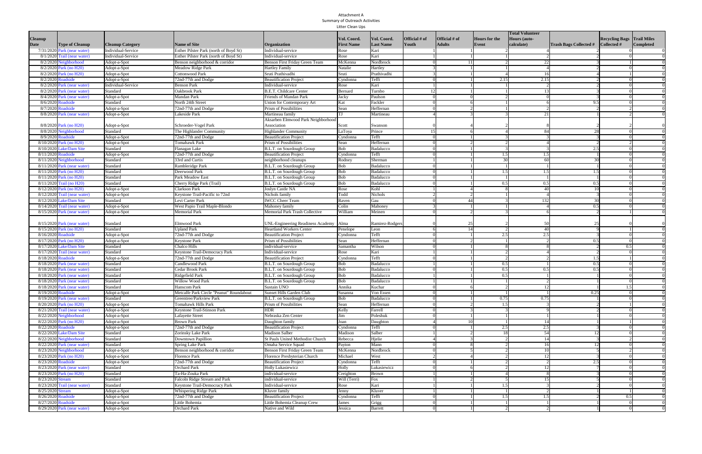*facilities based upon the strategy developed in year 1. Include the number of assessments completed, a description of the assessment procedure and any changes in facilities ranking in the annual report.*

The City of Gretna has developed a strategy to assess municipal facilities. In Permit Year 2 (June 2019-June 2020) 7 assessments were completed.

The City has complied a GIS database of all facilities to allow for inspection record keeping and assessment ranking to prioritize maintenance activities. The City performed maintenance on 7 specific areas during the 2020 calendar year.

## **This permit requirement has been met.**

*F.3. Continue to implement Good Housekeeping Program for municipal facilities that addresses "high priority" facilities and site-specific SOPs. On-Going All Years – Annually report new, removed, or significantly updated municipal facilities.* 

There were no changes to the City's municipal facilities in 2020. The City continues to update the storm sewer database with any new systems, removed or updated facilities.

#### **This permit requirement has been met.**

*F.4. Implement practices for maintaining the storm sewer system that includes catch basin maintenance, open channels and other drainage structures, street sweeping, and structural stormwater controls. All maintenance procedures are to be performed such that wastewater and waste materials do no enter the MS4. Year 1 – Provide a description of the maintenance programs in the annual report. On-Going All Years – Annually report on Sewer Maintenance activities related to maintain the storm sewer system and changes to any of the maintenance practices.* 

The streets were swept two times in 2020 by an independent company.

The City performed major maintenance activities at Northridge subdivision (Sycamore Drive east end of pavement), Highway 6 (ditches from OPPD south to Nebraska Crossing Drive, R&R Acres Industrial (R&R Road at curve to 220<sup>th</sup> Street), Fairview Road (ditch east of Highway 6), 204<sup>th</sup> Street storm outlet (Safarik Acres Lot 1), Michael Drive (north ditch outlet near BNSF Railroad).

City's Street Department provides routine monitoring of storm sewer systems and reports all maintenance items to the Public Works Director.

#### **This permit requirement has been met.**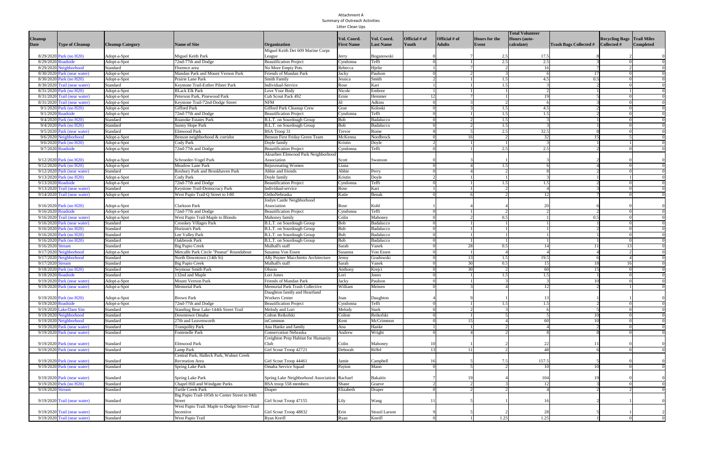Gretna 2020 Annual Report March 30, 2021 Permit number 220008

*F.5. Provide training for municipal employees in pollution prevention and good housekeeping. Year 1 – Develop a strategy for municipal employee training in pollution prevention and good housekeeping, include strategy in annual report. On-Going All Years – Conduct training events for municipal staff. Include number of employees trained, based on strategy developed in year 1, in annual report.*

During Permit Year 2 (June 2019-June 2020) City of Gretna completed the following training activities per the training strategy: Due to COVID-19, the City did not perform any training to municipal employees with respect to SWPPP and good housekeeping. The City anticipates being able to offer training in the upcoming year to the municipal employees related to pollution prevention and good housekeeping practices.

#### **This permit requirement has been met.**

*F.6. Provide educational material to contractors hired to perform maintenance activities on the MS4. Year 1 – Develop materials to provide to contractors and include in the annual report. Years 2-5 – Include in the annual report any new materials or updates to existing materials.*

Evaluation documents for Facility Runoff Control Plans (FRCP) have been developed and templates shared with the members of the PCWP. These templates include a photo checklist, site questionnaire, facility profile sheet, hot spot checklist, photo log and a facility recommended BMP checklist. FRCPs are developed for each facility in the PCWP communities.

No updates were made in 2020.

#### **This permit requirement has been met.**

#### **5. Fiscal Expenditures**

The City of Gretna annual expenses for 2020 were in the magnitude of \$10,000 for materials with all labor performed by the City own forces. The expenses included materials for rip-rap stone, stabilization fabric, seed and rolled erosion blanket.

#### **6. Changes in MS4 Area**

There have been no changes in the MS4 area in 2020.

#### **List of Attachments**

Attachment A. Summary of Outreach Activities

Attachment B. Inventory of Outreach Materials

Attachment C. Grading Permit Summary Report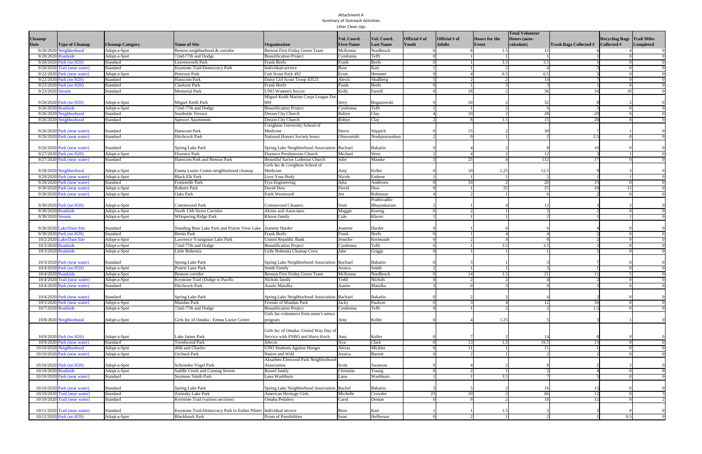Attachment D. Grading Permit Enforcement Summary

Attachment E. SSWP Contractor Report

Attachment F. PCSMP Summary Report

Attachment G. PCSMP List of Certified BMPs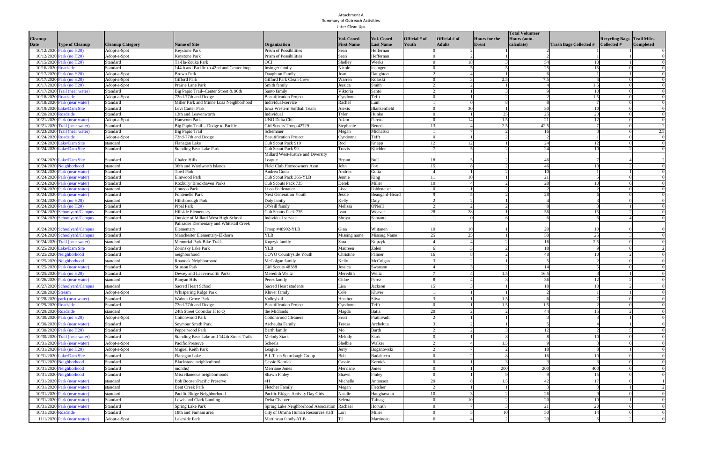## Attachment A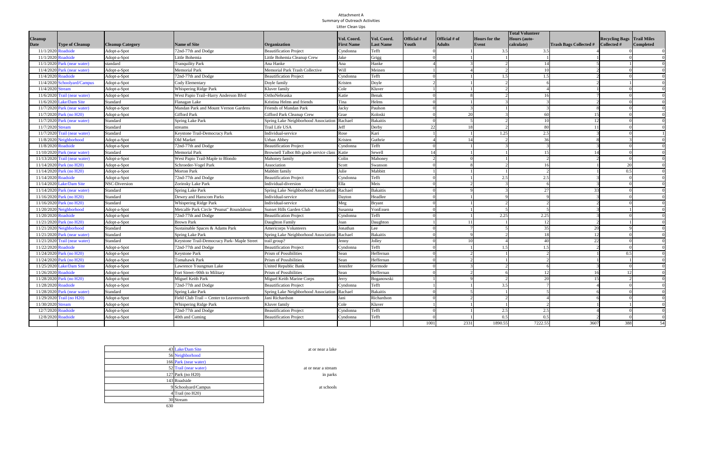## Attachment B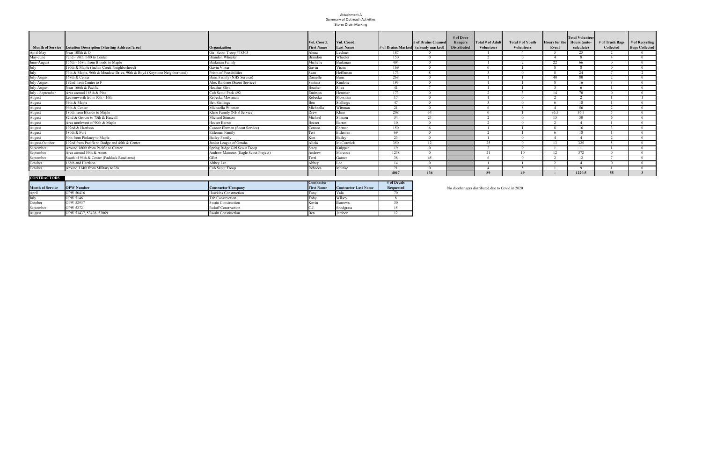## Attachment C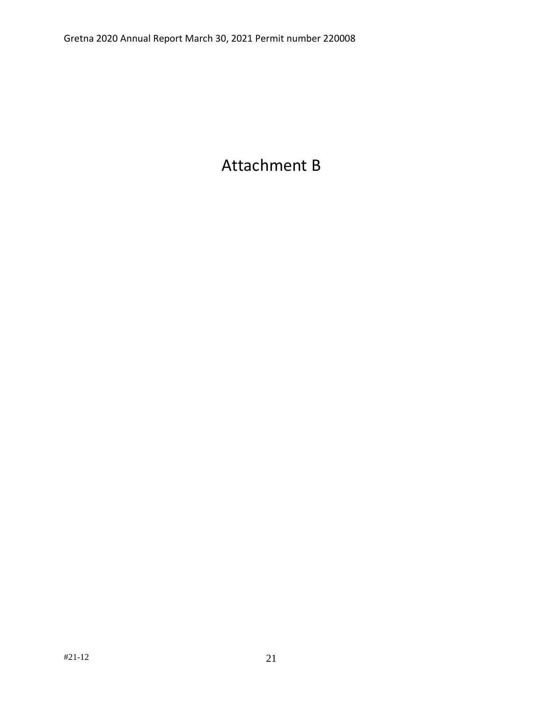## Attachment D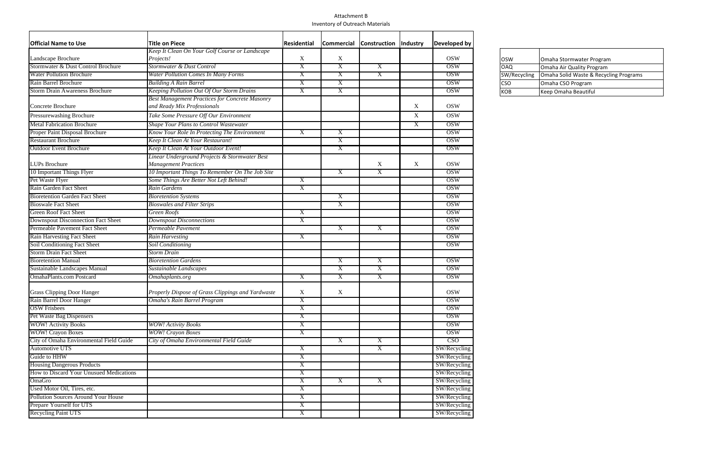## Attachment E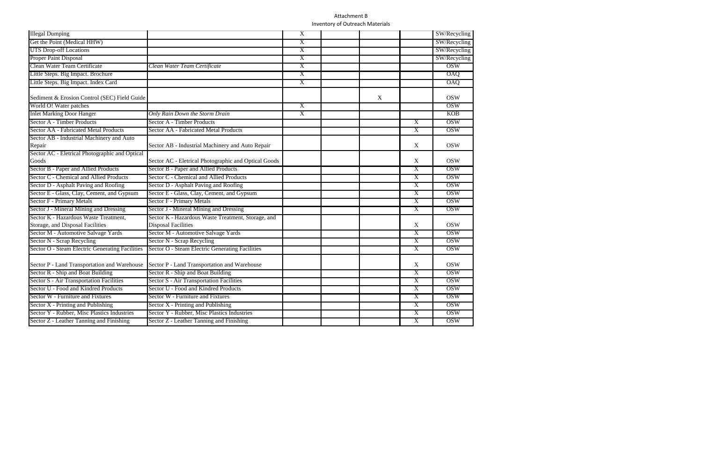# Attachment F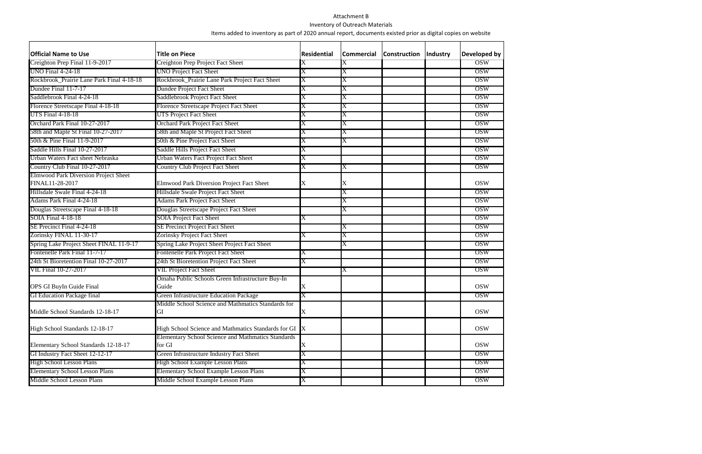## Attachment G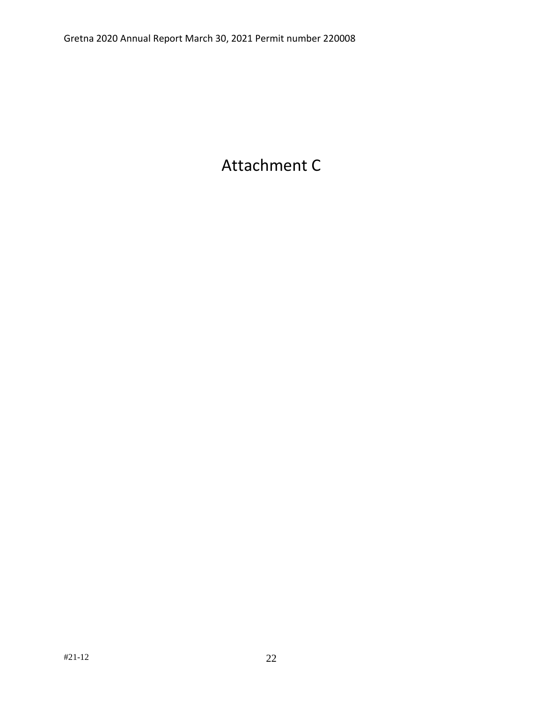## Attachment H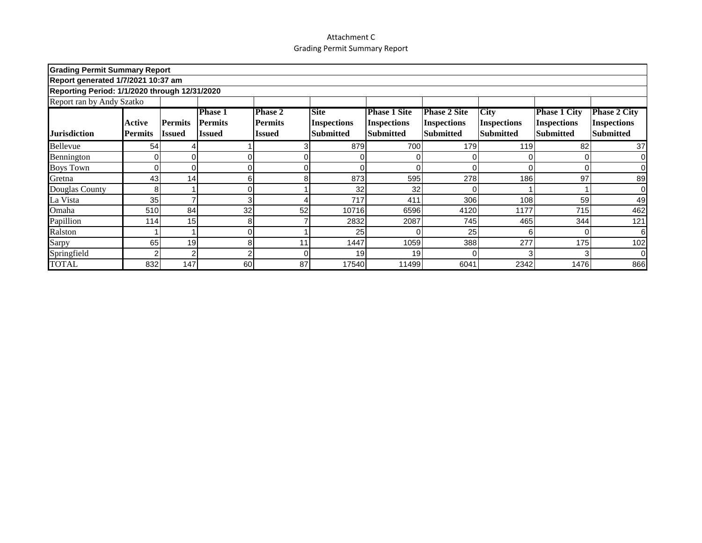## Attachment I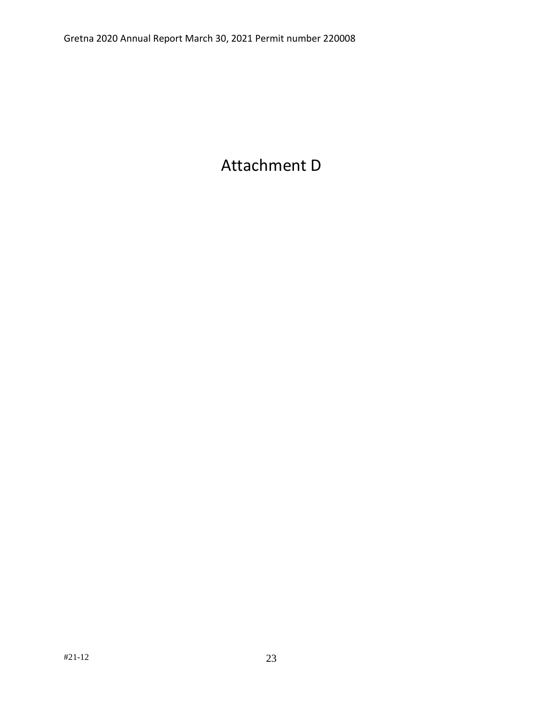## Attachment J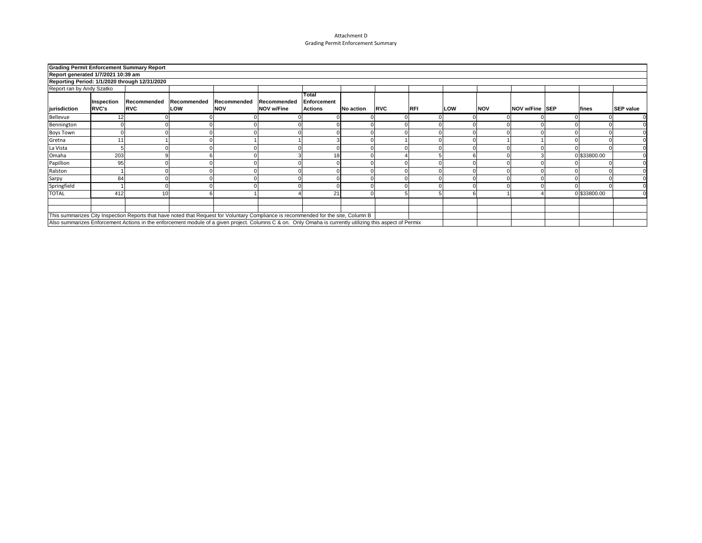## Attachment K